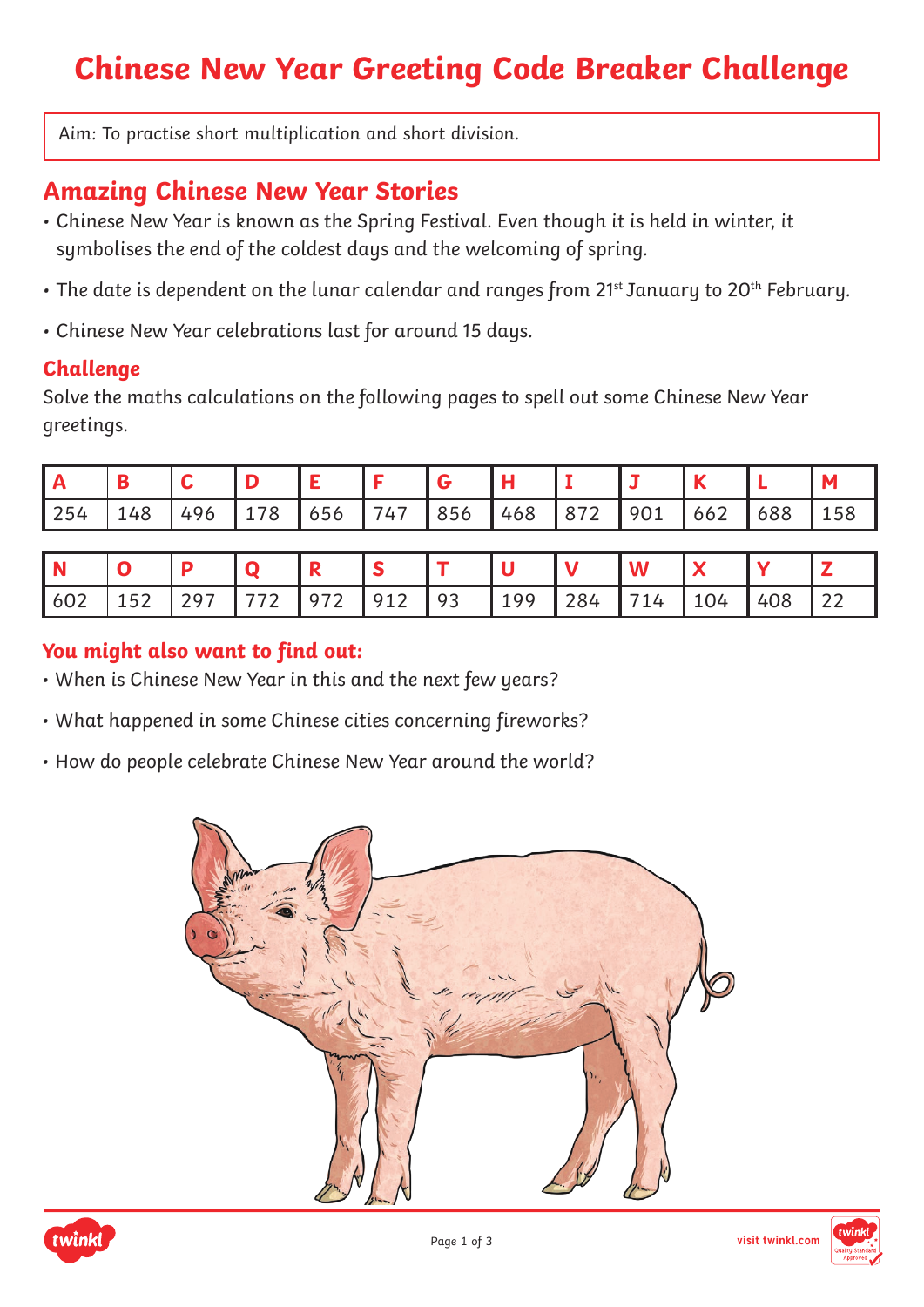### **Chinese New Year Greeting Code Breaker Challenge**

Aim: To practise short multiplication and short division.

### **Amazing Chinese New Year Stories**

- Chinese New Year is known as the Spring Festival. Even though it is held in winter, it symbolises the end of the coldest days and the welcoming of spring.
- The date is dependent on the lunar calendar and ranges from  $21^{st}$  January to  $20^{th}$  February.
- Chinese New Year celebrations last for around 15 days.

### **Challenge**

Solve the maths calculations on the following pages to spell out some Chinese New Year greetings.

|      |    |     |    |     |                        |     |     |     |       |                      |     | <b>M</b> |
|------|----|-----|----|-----|------------------------|-----|-----|-----|-------|----------------------|-----|----------|
| 1254 | 48 | 44h | 78 | 656 | $\rightarrow$<br>$L$ / | 856 | 468 | 872 | l 901 | 667<br>$\cup$ $\sim$ | 688 | 158      |

|      |           |      |      | R |                                       |    |     |     |     |     |  |
|------|-----------|------|------|---|---------------------------------------|----|-----|-----|-----|-----|--|
| 1602 | 152<br>∸∽ | 1297 | 1772 |   | $\begin{array}{c} \hline \end{array}$ | 93 | 199 | 714 | 104 | 408 |  |

#### **You might also want to find out:**

• When is Chinese New Year in this and the next few years?

- What happened in some Chinese cities concerning fireworks?
- How do people celebrate Chinese New Year around the world?





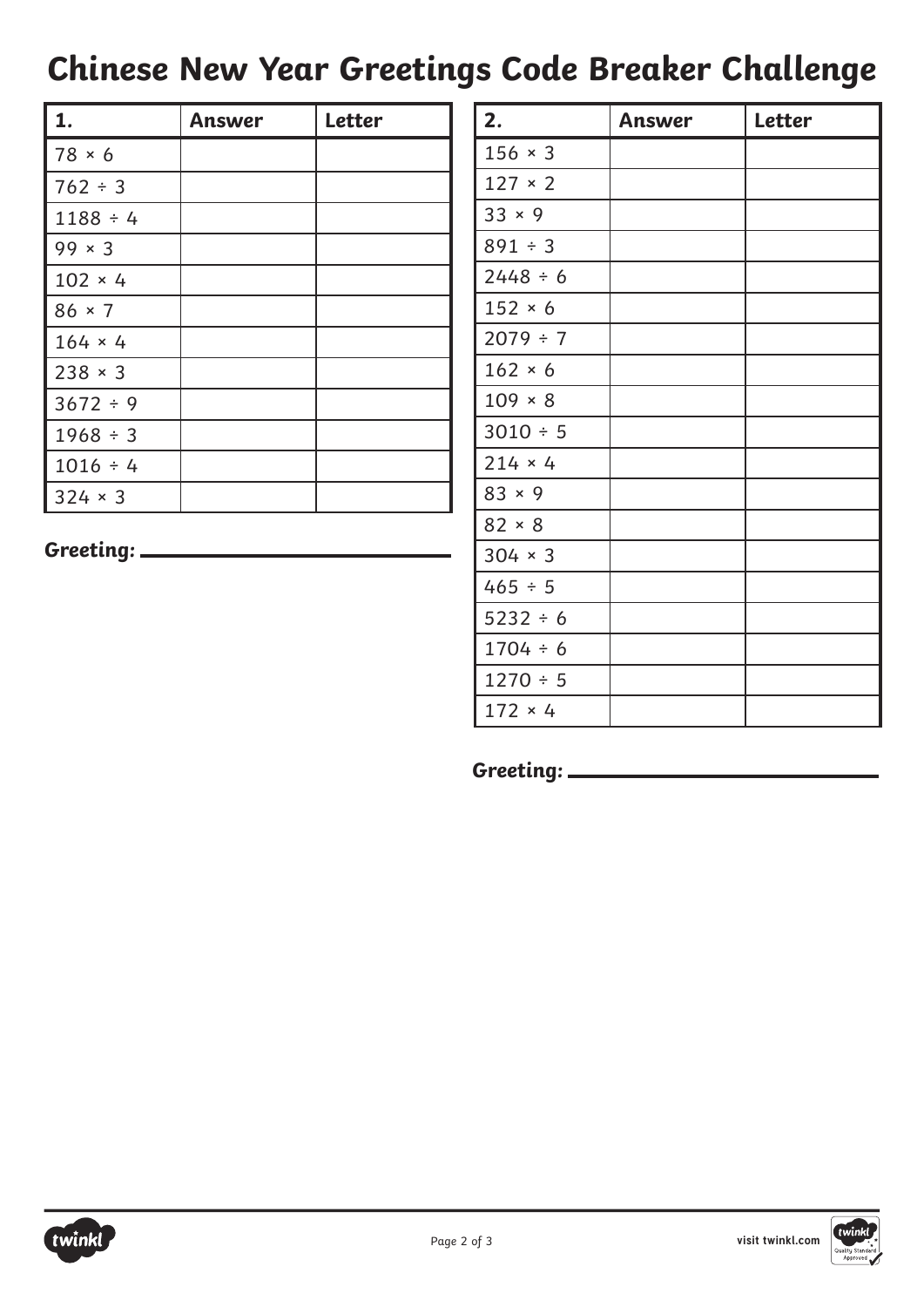## **Chinese New Year Greetings Code Breaker Challenge**

| 1.             | Answer | <b>Letter</b> |
|----------------|--------|---------------|
| $78 \times 6$  |        |               |
| $762 \div 3$   |        |               |
| $1188 \div 4$  |        |               |
| $99 \times 3$  |        |               |
| $102 \times 4$ |        |               |
| $86 \times 7$  |        |               |
| $164 \times 4$ |        |               |
| $238 \times 3$ |        |               |
| $3672 \div 9$  |        |               |
| $1968 \div 3$  |        |               |
| $1016 \div 4$  |        |               |
| $324 \times 3$ |        |               |

| 2.             | Answer | <b>Letter</b> |
|----------------|--------|---------------|
| $156 \times 3$ |        |               |
| 127 × 2        |        |               |
| $33 \times 9$  |        |               |
| $891 \div 3$   |        |               |
| $2448 \div 6$  |        |               |
| $152 \times 6$ |        |               |
| $2079 \div 7$  |        |               |
| $162 \times 6$ |        |               |
| $109 \times 8$ |        |               |
| $3010 \div 5$  |        |               |
| $214 \times 4$ |        |               |
| $83 \times 9$  |        |               |
| $82 \times 8$  |        |               |
| $304 \times 3$ |        |               |
| $465 \div 5$   |        |               |
| $5232 \div 6$  |        |               |
| $1704 \div 6$  |        |               |
| $1270 \div 5$  |        |               |
| 172 × 4        |        |               |

**Greeting:**



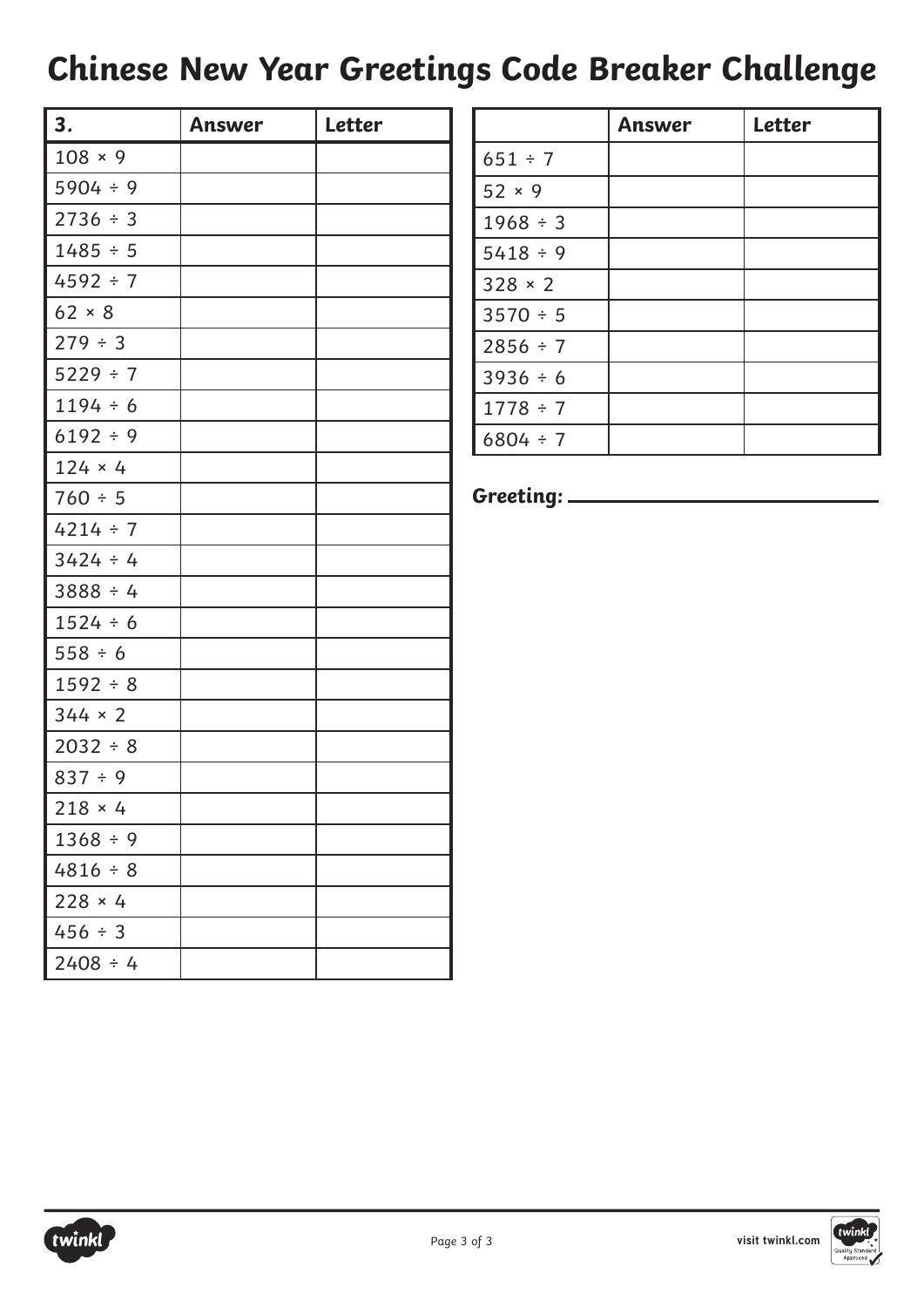# **Chinese New Year Greetings Code Breaker Challenge**

| 3.             | Answer | <b>Letter</b> |
|----------------|--------|---------------|
| $108 \times 9$ |        |               |
| $5904 \div 9$  |        |               |
| $2736 \div 3$  |        |               |
| $1485 \div 5$  |        |               |
| $4592 \div 7$  |        |               |
| $62 \times 8$  |        |               |
| 279 ÷ 3        |        |               |
| $5229 \div 7$  |        |               |
| $1194 \div 6$  |        |               |
| $6192 \div 9$  |        |               |
| $124 \times 4$ |        |               |
| $760 \div 5$   |        |               |
| $4214 \div 7$  |        |               |
| $3424 \div 4$  |        |               |
| $3888 \div 4$  |        |               |
| $1524 \div 6$  |        |               |
| $558 \div 6$   |        |               |
| $1592 \div 8$  |        |               |
| $344 \times 2$ |        |               |
| $2032 \div 8$  |        |               |
| 837 ÷ 9        |        |               |
| $218 \times 4$ |        |               |
| 1368 ÷ 9       |        |               |
| $4816 \div 8$  |        |               |
| $228 \times 4$ |        |               |
| $456 \div 3$   |        |               |
| $2408 \div 4$  |        |               |

| <b>Answer</b> | <b>Letter</b> |
|---------------|---------------|
|               |               |
|               |               |
|               |               |
|               |               |
|               |               |
|               |               |
|               |               |
|               |               |
|               |               |
|               |               |
|               |               |

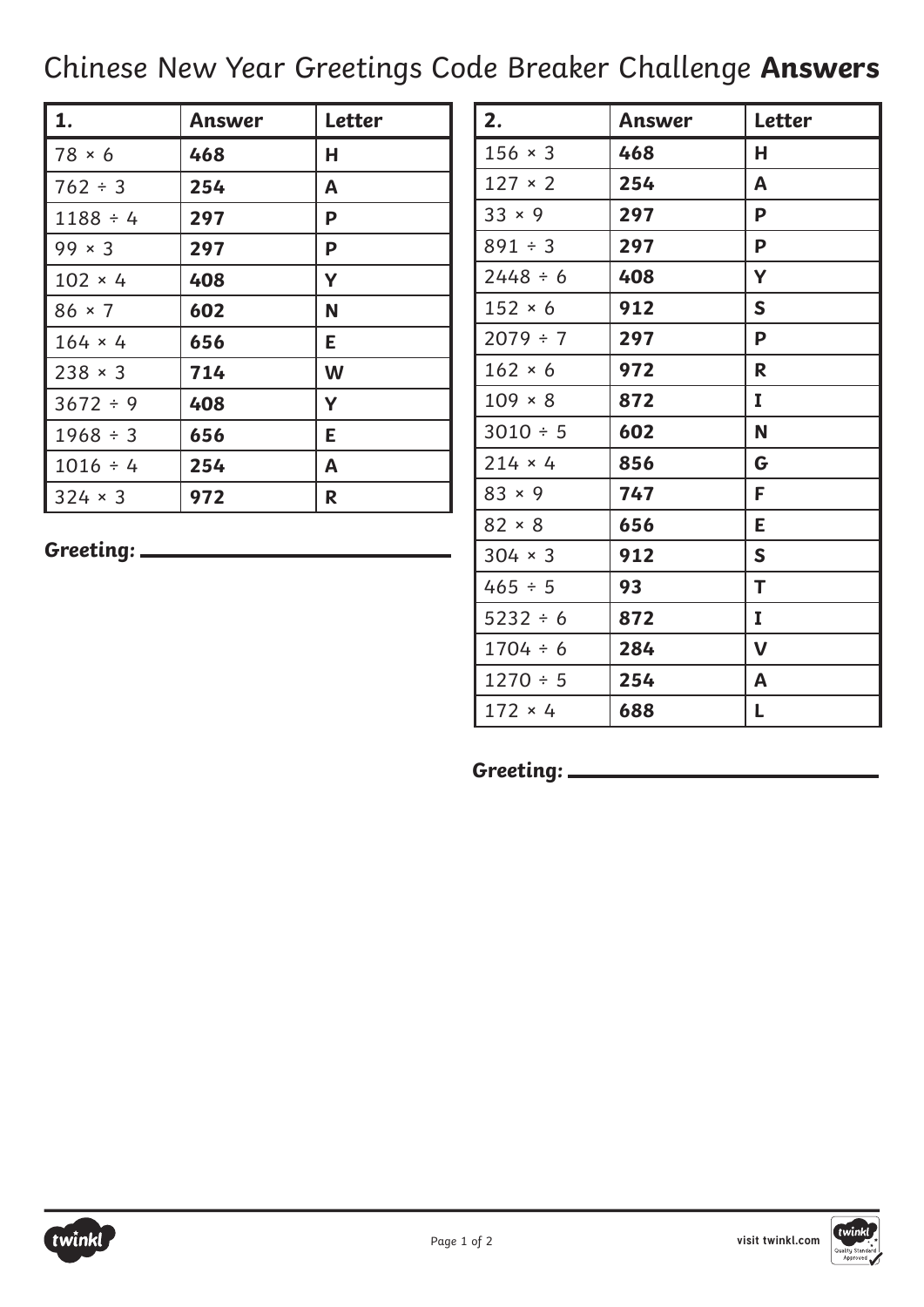### Chinese New Year Greetings Code Breaker Challenge **Answers**

| 1.             | Answer | <b>Letter</b> |
|----------------|--------|---------------|
| $78 \times 6$  | 468    | Н             |
| $762 \div 3$   | 254    | A             |
| $1188 \div 4$  | 297    | P             |
| $99 \times 3$  | 297    | P             |
| $102 \times 4$ | 408    | Υ             |
| $86 \times 7$  | 602    | N             |
| $164 \times 4$ | 656    | Е             |
| $238 \times 3$ | 714    | W             |
| $3672 \div 9$  | 408    | Υ             |
| $1968 \div 3$  | 656    | E             |
| $1016 \div 4$  | 254    | A             |
| $324 \times 3$ | 972    | R             |

**Greeting:**

| 2.             | Answer | <b>Letter</b> |
|----------------|--------|---------------|
| $156 \times 3$ | 468    | н             |
| 127 × 2        | 254    | A             |
| $33 \times 9$  | 297    | P             |
| $891 \div 3$   | 297    | P             |
| $2448 \div 6$  | 408    | Υ             |
| $152 \times 6$ | 912    | $\mathbf S$   |
| $2079 \div 7$  | 297    | P             |
| $162 \times 6$ | 972    | R             |
| $109 \times 8$ | 872    | 1             |
| $3010 \div 5$  | 602    | N             |
| $214 \times 4$ | 856    | G             |
| $83 \times 9$  | 747    | F             |
| $82 \times 8$  | 656    | Е             |
| $304 \times 3$ | 912    | S             |
| $465 \div 5$   | 93     | T             |
| $5232 \div 6$  | 872    | I             |
| $1704 \div 6$  | 284    | V             |
| $1270 \div 5$  | 254    | A             |
| $172 \times 4$ | 688    | L             |